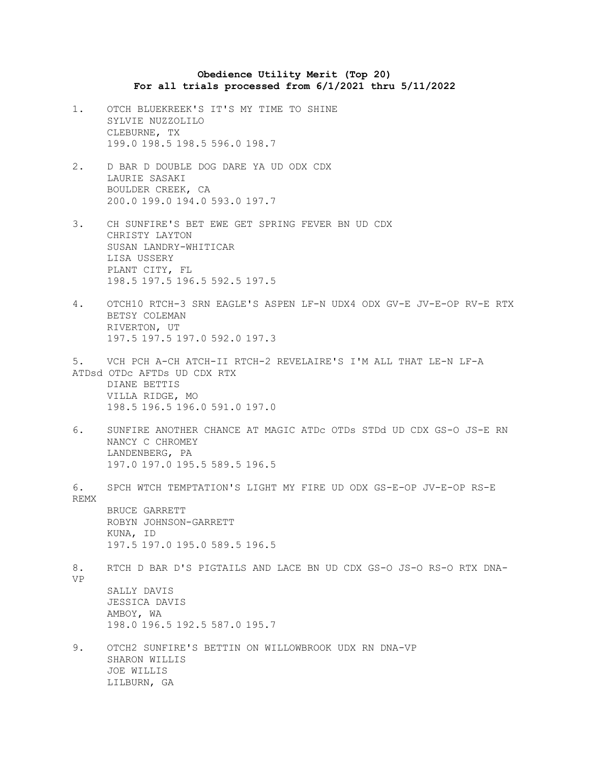## **Obedience Utility Merit (Top 20) For all trials processed from 6/1/2021 thru 5/11/2022**

- 1. OTCH BLUEKREEK'S IT'S MY TIME TO SHINE SYLVIE NUZZOLILO CLEBURNE, TX 199.0 198.5 198.5 596.0 198.7
- 2. D BAR D DOUBLE DOG DARE YA UD ODX CDX LAURIE SASAKI BOULDER CREEK, CA 200.0 199.0 194.0 593.0 197.7
- 3. CH SUNFIRE'S BET EWE GET SPRING FEVER BN UD CDX CHRISTY LAYTON SUSAN LANDRY-WHITICAR LISA USSERY PLANT CITY, FL 198.5 197.5 196.5 592.5 197.5
- 4. OTCH10 RTCH-3 SRN EAGLE'S ASPEN LF-N UDX4 ODX GV-E JV-E-OP RV-E RTX BETSY COLEMAN RIVERTON, UT 197.5 197.5 197.0 592.0 197.3
- 5. VCH PCH A-CH ATCH-II RTCH-2 REVELAIRE'S I'M ALL THAT LE-N LF-A ATDsd OTDc AFTDs UD CDX RTX

DIANE BETTIS VILLA RIDGE, MO 198.5 196.5 196.0 591.0 197.0

6. SUNFIRE ANOTHER CHANCE AT MAGIC ATDc OTDs STDd UD CDX GS-O JS-E RN NANCY C CHROMEY LANDENBERG, PA 197.0 197.0 195.5 589.5 196.5

6. SPCH WTCH TEMPTATION'S LIGHT MY FIRE UD ODX GS-E-OP JV-E-OP RS-E REMX BRUCE GARRETT ROBYN JOHNSON-GARRETT KUNA, ID 197.5 197.0 195.0 589.5 196.5 8. RTCH D BAR D'S PIGTAILS AND LACE BN UD CDX GS-O JS-O RS-O RTX DNA-

VP

SALLY DAVIS JESSICA DAVIS AMBOY, WA 198.0 196.5 192.5 587.0 195.7

9. OTCH2 SUNFIRE'S BETTIN ON WILLOWBROOK UDX RN DNA-VP SHARON WILLIS JOE WILLIS LILBURN, GA